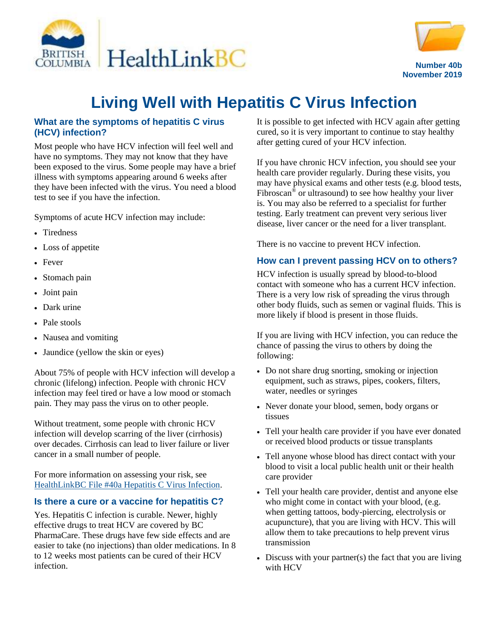



# **Living Well with Hepatitis C Virus Infection**

### **What are the symptoms of hepatitis C virus (HCV) infection?**

Most people who have HCV infection will feel well and have no symptoms. They may not know that they have been exposed to the virus. Some people may have a brief illness with symptoms appearing around 6 weeks after they have been infected with the virus. You need a blood test to see if you have the infection.

Symptoms of acute HCV infection may include:

- Tiredness
- Loss of appetite
- Fever
- Stomach pain
- Joint pain
- Dark urine
- Pale stools
- Nausea and vomiting
- Jaundice (yellow the skin or eyes)

About 75% of people with HCV infection will develop a chronic (lifelong) infection. People with chronic HCV infection may feel tired or have a low mood or stomach pain. They may pass the virus on to other people.

Without treatment, some people with chronic HCV infection will develop scarring of the liver (cirrhosis) over decades. Cirrhosis can lead to liver failure or liver cancer in a small number of people.

For more information on assessing your risk, see [HealthLinkBC File #40a Hepatitis C Virus Infection.](https://www.healthlinkbc.ca/healthlinkbc-files/hepatitis-c-virus)

#### **Is there a cure or a vaccine for hepatitis C?**

Yes. Hepatitis C infection is curable. Newer, highly effective drugs to treat HCV are covered by BC PharmaCare. These drugs have few side effects and are easier to take (no injections) than older medications. In 8 to 12 weeks most patients can be cured of their HCV infection.

It is possible to get infected with HCV again after getting cured, so it is very important to continue to stay healthy after getting cured of your HCV infection.

If you have chronic HCV infection, you should see your health care provider regularly. During these visits, you may have physical exams and other tests (e.g. blood tests, Fibroscan<sup>®</sup> or ultrasound) to see how healthy your liver is. You may also be referred to a specialist for further testing. Early treatment can prevent very serious liver disease, liver cancer or the need for a liver transplant.

There is no vaccine to prevent HCV infection.

### **How can I prevent passing HCV on to others?**

HCV infection is usually spread by blood-to-blood contact with someone who has a current HCV infection. There is a very low risk of spreading the virus through other body fluids, such as semen or vaginal fluids. This is more likely if blood is present in those fluids.

If you are living with HCV infection, you can reduce the chance of passing the virus to others by doing the following:

- Do not share drug snorting, smoking or injection equipment, such as straws, pipes, cookers, filters, water, needles or syringes
- Never donate your blood, semen, body organs or tissues
- Tell your health care provider if you have ever donated or received blood products or tissue transplants
- Tell anyone whose blood has direct contact with your blood to visit a local public health unit or their health care provider
- Tell your health care provider, dentist and anyone else who might come in contact with your blood, (e.g. when getting tattoos, body-piercing, electrolysis or acupuncture), that you are living with HCV. This will allow them to take precautions to help prevent virus transmission
- Discuss with your partner(s) the fact that you are living with HCV